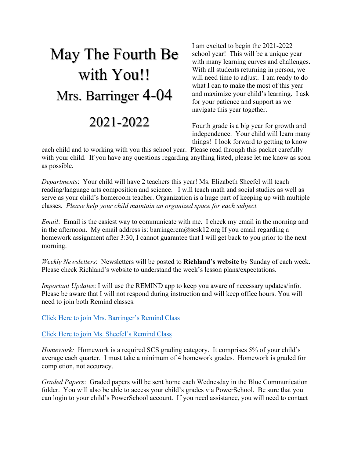## May The Fourth Be with You!! Mrs. Barringer 4-04 2021-2022

I am excited to begin the 2021-2022 school year! This will be a unique year with many learning curves and challenges. With all students returning in person, we will need time to adjust. I am ready to do what I can to make the most of this year and maximize your child's learning. I ask for your patience and support as we navigate this year together.

Fourth grade is a big year for growth and independence. Your child will learn many things! I look forward to getting to know

each child and to working with you this school year. Please read through this packet carefully with your child. If you have any questions regarding anything listed, please let me know as soon as possible.

*Departments*: Your child will have 2 teachers this year! Ms. Elizabeth Sheefel will teach reading/language arts composition and science. I will teach math and social studies as well as serve as your child's homeroom teacher. Organization is a huge part of keeping up with multiple classes. *Please help your child maintain an organized space for each subject.*

*Email*: Email is the easiest way to communicate with me. I check my email in the morning and in the afternoon. My email address is: barringercm@scsk12.org If you email regarding a homework assignment after 3:30, I cannot guarantee that I will get back to you prior to the next morning.

*Weekly Newsletters*: Newsletters will be posted to **Richland's website** by Sunday of each week. Please check Richland's website to understand the week's lesson plans/expectations.

*Important Updates*: I will use the REMIND app to keep you aware of necessary updates/info. Please be aware that I will not respond during instruction and will keep office hours. You will need to join both Remind classes.

Click Here to join Mrs. Barringer's Remind Class

Click Here to join Ms. Sheefel's Remind Class

*Homework:* Homework is a required SCS grading category. It comprises 5% of your child's average each quarter. I must take a minimum of 4 homework grades. Homework is graded for completion, not accuracy.

*Graded Papers*: Graded papers will be sent home each Wednesday in the Blue Communication folder. You will also be able to access your child's grades via PowerSchool. Be sure that you can login to your child's PowerSchool account. If you need assistance, you will need to contact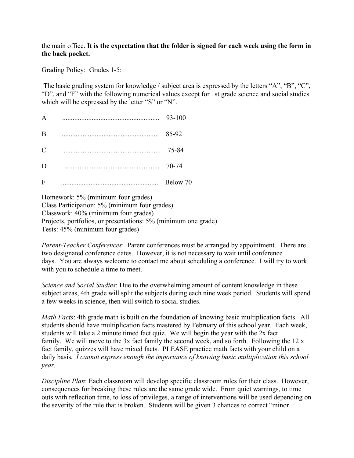## the main office. **It is the expectation that the folder is signed for each week using the form in the back pocket.**

Grading Policy: Grades 1-5:

The basic grading system for knowledge / subject area is expressed by the letters "A", "B", "C", "D", and "F" with the following numerical values except for 1st grade science and social studies which will be expressed by the letter "S" or "N".

| $\mathsf{A}$ | 93-100   |
|--------------|----------|
| B            | 85-92    |
| C            | 75-84    |
| D            | 70-74    |
| F            | Below 70 |

Homework: 5% (minimum four grades) Class Participation: 5% (minimum four grades) Classwork: 40% (minimum four grades) Projects, portfolios, or presentations: 5% (minimum one grade) Tests: 45% (minimum four grades)

*Parent-Teacher Conferences*: Parent conferences must be arranged by appointment. There are two designated conference dates. However, it is not necessary to wait until conference days. You are always welcome to contact me about scheduling a conference. I will try to work with you to schedule a time to meet.

*Science and Social Studies*: Due to the overwhelming amount of content knowledge in these subject areas, 4th grade will split the subjects during each nine week period. Students will spend a few weeks in science, then will switch to social studies.

*Math Facts*: 4th grade math is built on the foundation of knowing basic multiplication facts. All students should have multiplication facts mastered by February of this school year. Each week, students will take a 2 minute timed fact quiz. We will begin the year with the 2x fact family. We will move to the 3x fact family the second week, and so forth. Following the 12 x fact family, quizzes will have mixed facts. PLEASE practice math facts with your child on a daily basis*. I cannot express enough the importance of knowing basic multiplication this school year.*

*Discipline Plan*: Each classroom will develop specific classroom rules for their class. However, consequences for breaking these rules are the same grade wide. From quiet warnings, to time outs with reflection time, to loss of privileges, a range of interventions will be used depending on the severity of the rule that is broken. Students will be given 3 chances to correct "minor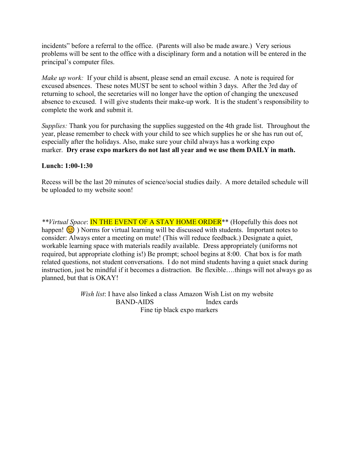incidents" before a referral to the office. (Parents will also be made aware.) Very serious problems will be sent to the office with a disciplinary form and a notation will be entered in the principal's computer files.

*Make up work:* If your child is absent, please send an email excuse. A note is required for excused absences. These notes MUST be sent to school within 3 days. After the 3rd day of returning to school, the secretaries will no longer have the option of changing the unexcused absence to excused. I will give students their make-up work. It is the student's responsibility to complete the work and submit it.

*Supplies:* Thank you for purchasing the supplies suggested on the 4th grade list. Throughout the year, please remember to check with your child to see which supplies he or she has run out of, especially after the holidays. Also, make sure your child always has a working expo marker. **Dry erase expo markers do not last all year and we use them DAILY in math.**

## **Lunch: 1:00-1:30**

Recess will be the last 20 minutes of science/social studies daily. A more detailed schedule will be uploaded to my website soon!

*\*\*Virtual Space*: IN THE EVENT OF A STAY HOME ORDER\*\* (Hopefully this does not happen!  $\odot$ ) Norms for virtual learning will be discussed with students. Important notes to consider: Always enter a meeting on mute! (This will reduce feedback.) Designate a quiet, workable learning space with materials readily available. Dress appropriately (uniforms not required, but appropriate clothing is!) Be prompt; school begins at 8:00. Chat box is for math related questions, not student conversations. I do not mind students having a quiet snack during instruction, just be mindful if it becomes a distraction. Be flexible….things will not always go as planned, but that is OKAY!

> *Wish list*: I have also linked a class Amazon Wish List on my website BAND-AIDS Index cards Fine tip black expo markers